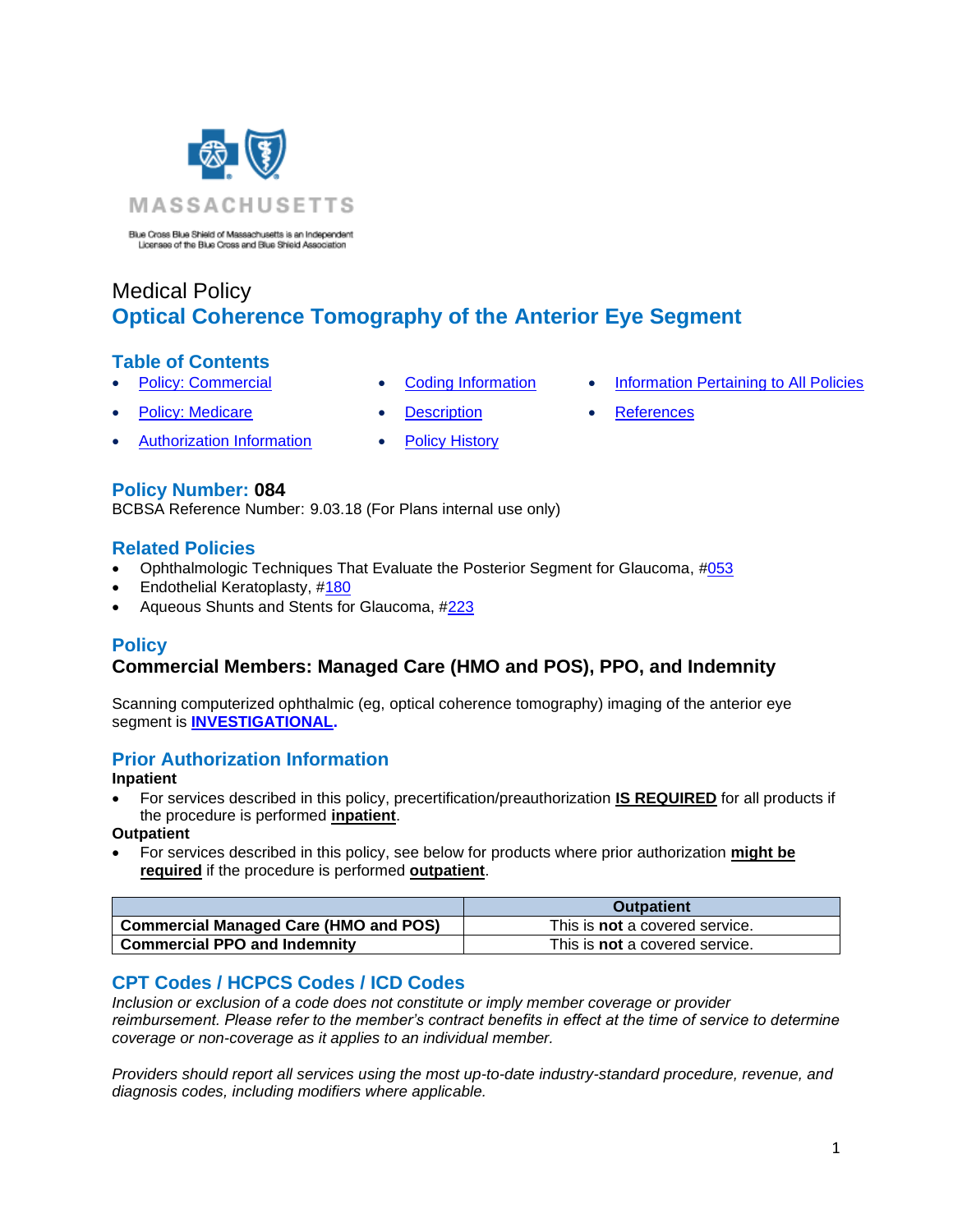

Blue Cross Blue Shield of Massachusetts is an Independent<br>Licensee of the Blue Cross and Blue Shield Association

# Medical Policy **Optical Coherence Tomography of the Anterior Eye Segment**

## **Table of Contents**

- 
- 
- **[Policy: Commercial](#page-0-0) [Coding Information](#page-0-1) [Information Pertaining to All Policies](#page-3-0)**
- **Policy: Medicare [Description](#page-1-0) [References](#page-4-0)** 
	-
- 

**Policy Number: 084**

BCBSA Reference Number: 9.03.18 (For Plans internal use only)

• [Authorization](#page-0-2) Information • [Policy History](#page-3-1)

## **Related Policies**

- Ophthalmologic Techniques That Evaluate the Posterior Segment for Glaucoma, [#053](http://www.bluecrossma.org/medical-policies/sites/g/files/csphws2091/files/acquiadam-assets/053%20Ophthalmologic%20Techniques%20That%20Evaluate%20the%20Posterior%20Segment%20for%20Glaucoma%20prn.pdf)
- Endothelial Keratoplasty, [#180](http://www.bluecrossma.org/medical-policies/sites/g/files/csphws2091/files/acquiadam-assets/180%20Endothelial%20Keratoplasty%20prn.pdf#page=1)
- <span id="page-0-0"></span>• Aqueous Shunts and Stents for Glaucoma, [#223](http://www.bluecrossma.org/medical-policies/sites/g/files/csphws2091/files/acquiadam-assets/223%20Aqueous%20Shunts%20and%20Stents%20for%20Glaucoma%20prn.pdf)

# **Policy**

# **Commercial Members: Managed Care (HMO and POS), PPO, and Indemnity**

Scanning computerized ophthalmic (eg, optical coherence tomography) imaging of the anterior eye segment is **[INVESTIGATIONAL.](https://www.bluecrossma.org/medical-policies/sites/g/files/csphws2091/files/acquiadam-assets/Definition%20of%20Med%20Nec%20Inv%20Not%20Med%20Nec%20prn.pdf#page=1)**

# <span id="page-0-2"></span>**Prior Authorization Information**

#### **Inpatient**

• For services described in this policy, precertification/preauthorization **IS REQUIRED** for all products if the procedure is performed **inpatient**.

#### **Outpatient**

• For services described in this policy, see below for products where prior authorization **might be required** if the procedure is performed **outpatient**.

|                                              | <b>Outpatient</b>                     |
|----------------------------------------------|---------------------------------------|
| <b>Commercial Managed Care (HMO and POS)</b> | This is <b>not</b> a covered service. |
| <b>Commercial PPO and Indemnity</b>          | This is <b>not</b> a covered service. |

# <span id="page-0-1"></span>**CPT Codes / HCPCS Codes / ICD Codes**

*Inclusion or exclusion of a code does not constitute or imply member coverage or provider reimbursement. Please refer to the member's contract benefits in effect at the time of service to determine coverage or non-coverage as it applies to an individual member.*

*Providers should report all services using the most up-to-date industry-standard procedure, revenue, and diagnosis codes, including modifiers where applicable.*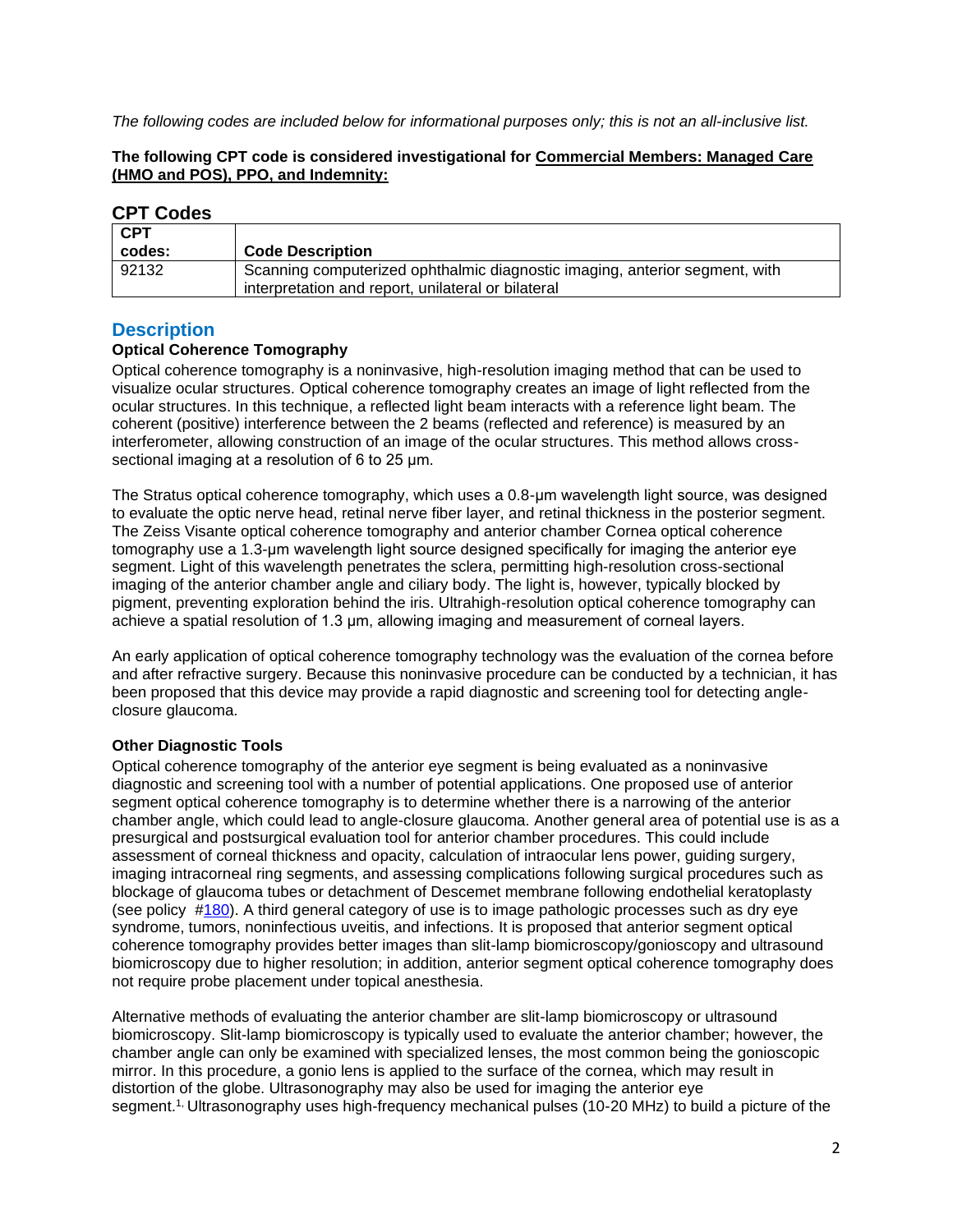*The following codes are included below for informational purposes only; this is not an all-inclusive list.*

#### **The following CPT code is considered investigational for Commercial Members: Managed Care (HMO and POS), PPO, and Indemnity:**

## **CPT Codes**

| <b>CPT</b><br>codes: | <b>Code Description</b>                                                                                                           |
|----------------------|-----------------------------------------------------------------------------------------------------------------------------------|
| 92132                | Scanning computerized ophthalmic diagnostic imaging, anterior segment, with<br>interpretation and report, unilateral or bilateral |

## <span id="page-1-0"></span>**Description**

#### **Optical Coherence Tomography**

Optical coherence tomography is a noninvasive, high-resolution imaging method that can be used to visualize ocular structures. Optical coherence tomography creates an image of light reflected from the ocular structures. In this technique, a reflected light beam interacts with a reference light beam. The coherent (positive) interference between the 2 beams (reflected and reference) is measured by an interferometer, allowing construction of an image of the ocular structures. This method allows crosssectional imaging at a resolution of 6 to 25 μm.

The Stratus optical coherence tomography, which uses a 0.8-μm wavelength light source, was designed to evaluate the optic nerve head, retinal nerve fiber layer, and retinal thickness in the posterior segment. The Zeiss Visante optical coherence tomography and anterior chamber Cornea optical coherence tomography use a 1.3-μm wavelength light source designed specifically for imaging the anterior eye segment. Light of this wavelength penetrates the sclera, permitting high-resolution cross-sectional imaging of the anterior chamber angle and ciliary body. The light is, however, typically blocked by pigment, preventing exploration behind the iris. Ultrahigh-resolution optical coherence tomography can achieve a spatial resolution of 1.3 μm, allowing imaging and measurement of corneal layers.

An early application of optical coherence tomography technology was the evaluation of the cornea before and after refractive surgery. Because this noninvasive procedure can be conducted by a technician, it has been proposed that this device may provide a rapid diagnostic and screening tool for detecting angleclosure glaucoma.

## **Other Diagnostic Tools**

Optical coherence tomography of the anterior eye segment is being evaluated as a noninvasive diagnostic and screening tool with a number of potential applications. One proposed use of anterior segment optical coherence tomography is to determine whether there is a narrowing of the anterior chamber angle, which could lead to angle-closure glaucoma. Another general area of potential use is as a presurgical and postsurgical evaluation tool for anterior chamber procedures. This could include assessment of corneal thickness and opacity, calculation of intraocular lens power, guiding surgery, imaging intracorneal ring segments, and assessing complications following surgical procedures such as blockage of glaucoma tubes or detachment of Descemet membrane following endothelial keratoplasty (see policy [#180\)](http://www.bluecrossma.org/medical-policies/sites/g/files/csphws2091/files/acquiadam-assets/180%20Endothelial%20Keratoplasty%20prn.pdf#page=1). A third general category of use is to image pathologic processes such as dry eye syndrome, tumors, noninfectious uveitis, and infections. It is proposed that anterior segment optical coherence tomography provides better images than slit-lamp biomicroscopy/gonioscopy and ultrasound biomicroscopy due to higher resolution; in addition, anterior segment optical coherence tomography does not require probe placement under topical anesthesia.

Alternative methods of evaluating the anterior chamber are slit-lamp biomicroscopy or ultrasound biomicroscopy. Slit-lamp biomicroscopy is typically used to evaluate the anterior chamber; however, the chamber angle can only be examined with specialized lenses, the most common being the gonioscopic mirror. In this procedure, a gonio lens is applied to the surface of the cornea, which may result in distortion of the globe. Ultrasonography may also be used for imaging the anterior eye segment.<sup>[1,](https://www.evidencepositioningsystem.com/BCBSA/html/_w_723840e8239f57db80cde70d2413799a383cc1b1c35dd3ff/_blank)</sup> Ultrasonography uses high-frequency mechanical pulses (10-20 MHz) to build a picture of the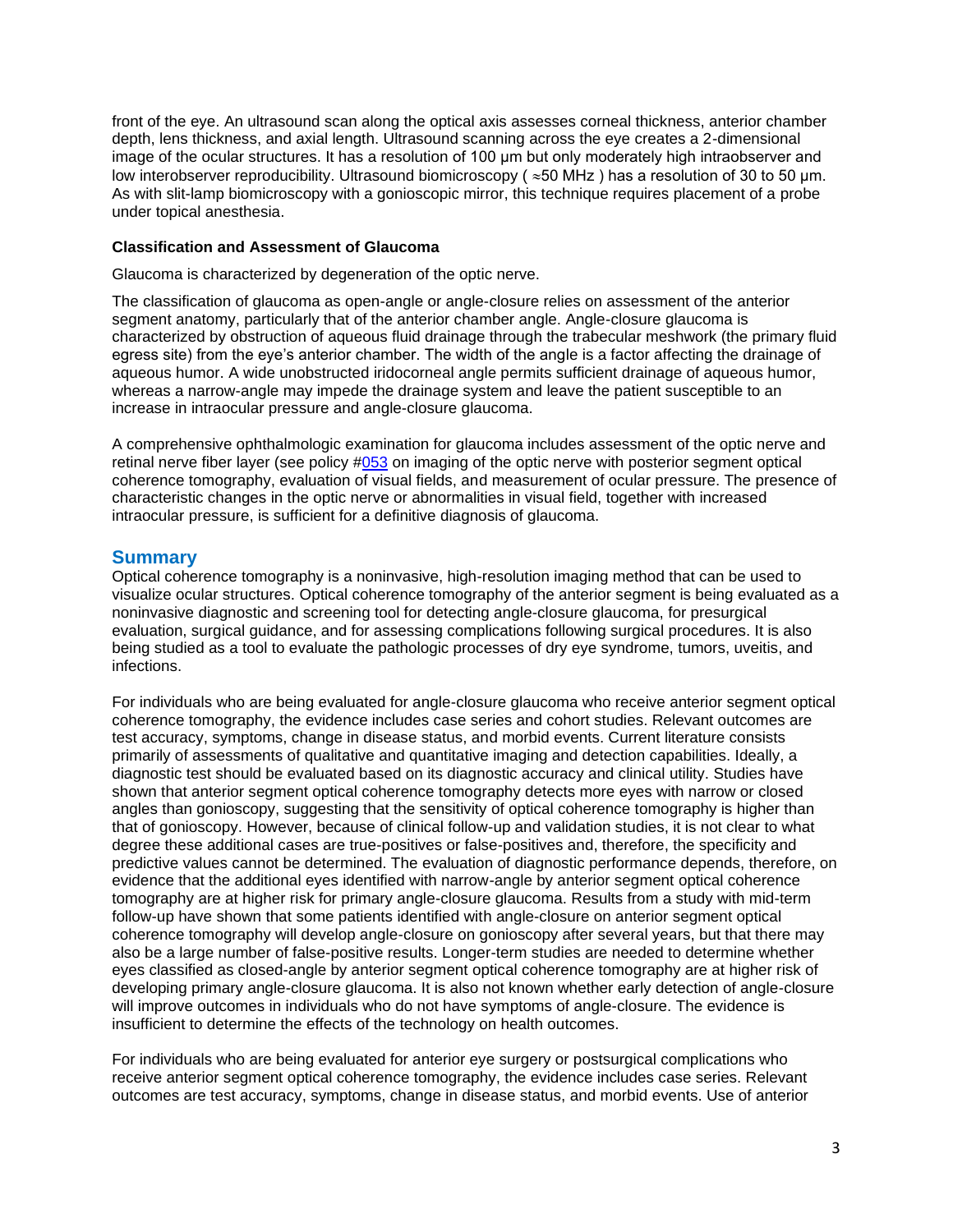front of the eye. An ultrasound scan along the optical axis assesses corneal thickness, anterior chamber depth, lens thickness, and axial length. Ultrasound scanning across the eye creates a 2-dimensional image of the ocular structures. It has a resolution of 100 μm but only moderately high intraobserver and low interobserver reproducibility. Ultrasound biomicroscopy ( $\approx$  50 MHz) has a resolution of 30 to 50 μm. As with slit-lamp biomicroscopy with a gonioscopic mirror, this technique requires placement of a probe under topical anesthesia.

#### **Classification and Assessment of Glaucoma**

Glaucoma is characterized by degeneration of the optic nerve.

The classification of glaucoma as open-angle or angle-closure relies on assessment of the anterior segment anatomy, particularly that of the anterior chamber angle. Angle-closure glaucoma is characterized by obstruction of aqueous fluid drainage through the trabecular meshwork (the primary fluid egress site) from the eye's anterior chamber. The width of the angle is a factor affecting the drainage of aqueous humor. A wide unobstructed iridocorneal angle permits sufficient drainage of aqueous humor, whereas a narrow-angle may impede the drainage system and leave the patient susceptible to an increase in intraocular pressure and angle-closure glaucoma.

A comprehensive ophthalmologic examination for glaucoma includes assessment of the optic nerve and retinal nerve fiber layer (see policy [#053](http://www.bluecrossma.org/medical-policies/sites/g/files/csphws2091/files/acquiadam-assets/053%20Ophthalmologic%20Techniques%20That%20Evaluate%20the%20Posterior%20Segment%20for%20Glaucoma%20prn.pdf) on imaging of the optic nerve with posterior segment optical coherence tomography, evaluation of visual fields, and measurement of ocular pressure. The presence of characteristic changes in the optic nerve or abnormalities in visual field, together with increased intraocular pressure, is sufficient for a definitive diagnosis of glaucoma.

## **Summary**

Optical coherence tomography is a noninvasive, high-resolution imaging method that can be used to visualize ocular structures. Optical coherence tomography of the anterior segment is being evaluated as a noninvasive diagnostic and screening tool for detecting angle-closure glaucoma, for presurgical evaluation, surgical guidance, and for assessing complications following surgical procedures. It is also being studied as a tool to evaluate the pathologic processes of dry eye syndrome, tumors, uveitis, and infections.

For individuals who are being evaluated for angle-closure glaucoma who receive anterior segment optical coherence tomography, the evidence includes case series and cohort studies. Relevant outcomes are test accuracy, symptoms, change in disease status, and morbid events. Current literature consists primarily of assessments of qualitative and quantitative imaging and detection capabilities. Ideally, a diagnostic test should be evaluated based on its diagnostic accuracy and clinical utility. Studies have shown that anterior segment optical coherence tomography detects more eyes with narrow or closed angles than gonioscopy, suggesting that the sensitivity of optical coherence tomography is higher than that of gonioscopy. However, because of clinical follow-up and validation studies, it is not clear to what degree these additional cases are true-positives or false-positives and, therefore, the specificity and predictive values cannot be determined. The evaluation of diagnostic performance depends, therefore, on evidence that the additional eyes identified with narrow-angle by anterior segment optical coherence tomography are at higher risk for primary angle-closure glaucoma. Results from a study with mid-term follow-up have shown that some patients identified with angle-closure on anterior segment optical coherence tomography will develop angle-closure on gonioscopy after several years, but that there may also be a large number of false-positive results. Longer-term studies are needed to determine whether eyes classified as closed-angle by anterior segment optical coherence tomography are at higher risk of developing primary angle-closure glaucoma. It is also not known whether early detection of angle-closure will improve outcomes in individuals who do not have symptoms of angle-closure. The evidence is insufficient to determine the effects of the technology on health outcomes.

For individuals who are being evaluated for anterior eye surgery or postsurgical complications who receive anterior segment optical coherence tomography, the evidence includes case series. Relevant outcomes are test accuracy, symptoms, change in disease status, and morbid events. Use of anterior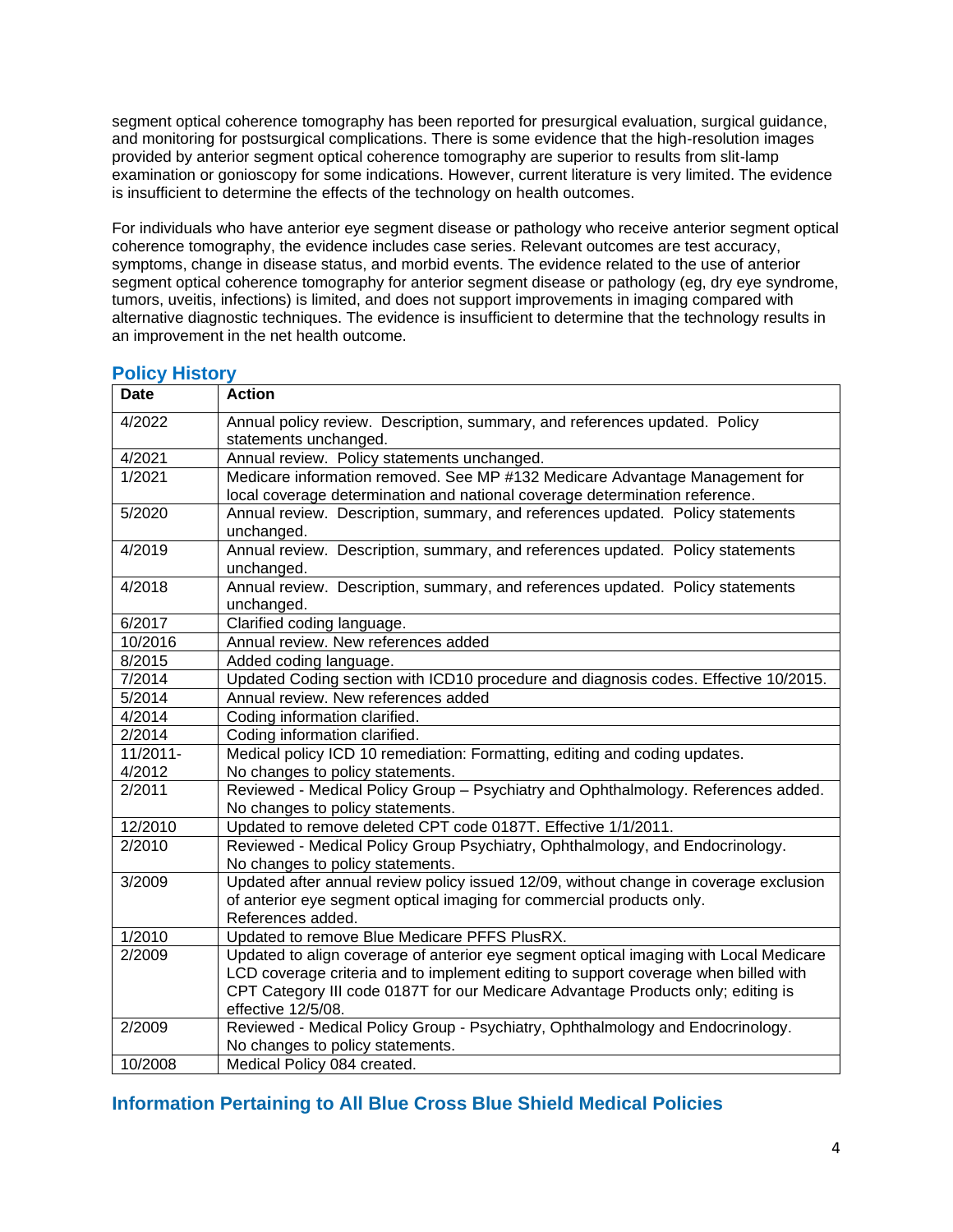segment optical coherence tomography has been reported for presurgical evaluation, surgical guidance, and monitoring for postsurgical complications. There is some evidence that the high-resolution images provided by anterior segment optical coherence tomography are superior to results from slit-lamp examination or gonioscopy for some indications. However, current literature is very limited. The evidence is insufficient to determine the effects of the technology on health outcomes.

For individuals who have anterior eye segment disease or pathology who receive anterior segment optical coherence tomography, the evidence includes case series. Relevant outcomes are test accuracy, symptoms, change in disease status, and morbid events. The evidence related to the use of anterior segment optical coherence tomography for anterior segment disease or pathology (eg, dry eye syndrome, tumors, uveitis, infections) is limited, and does not support improvements in imaging compared with alternative diagnostic techniques. The evidence is insufficient to determine that the technology results in an improvement in the net health outcome.

| <b>Date</b> | <b>Action</b>                                                                                                                                                                                                                                                                          |
|-------------|----------------------------------------------------------------------------------------------------------------------------------------------------------------------------------------------------------------------------------------------------------------------------------------|
| 4/2022      | Annual policy review. Description, summary, and references updated. Policy<br>statements unchanged.                                                                                                                                                                                    |
| 4/2021      | Annual review. Policy statements unchanged.                                                                                                                                                                                                                                            |
| 1/2021      | Medicare information removed. See MP #132 Medicare Advantage Management for<br>local coverage determination and national coverage determination reference.                                                                                                                             |
| 5/2020      | Annual review. Description, summary, and references updated. Policy statements<br>unchanged.                                                                                                                                                                                           |
| 4/2019      | Annual review. Description, summary, and references updated. Policy statements<br>unchanged.                                                                                                                                                                                           |
| 4/2018      | Annual review. Description, summary, and references updated. Policy statements<br>unchanged.                                                                                                                                                                                           |
| 6/2017      | Clarified coding language.                                                                                                                                                                                                                                                             |
| 10/2016     | Annual review. New references added                                                                                                                                                                                                                                                    |
| 8/2015      | Added coding language.                                                                                                                                                                                                                                                                 |
| 7/2014      | Updated Coding section with ICD10 procedure and diagnosis codes. Effective 10/2015.                                                                                                                                                                                                    |
| 5/2014      | Annual review. New references added                                                                                                                                                                                                                                                    |
| 4/2014      | Coding information clarified.                                                                                                                                                                                                                                                          |
| 2/2014      | Coding information clarified.                                                                                                                                                                                                                                                          |
| 11/2011-    | Medical policy ICD 10 remediation: Formatting, editing and coding updates.                                                                                                                                                                                                             |
| 4/2012      | No changes to policy statements.                                                                                                                                                                                                                                                       |
| 2/2011      | Reviewed - Medical Policy Group - Psychiatry and Ophthalmology. References added.<br>No changes to policy statements.                                                                                                                                                                  |
| 12/2010     | Updated to remove deleted CPT code 0187T. Effective 1/1/2011.                                                                                                                                                                                                                          |
| 2/2010      | Reviewed - Medical Policy Group Psychiatry, Ophthalmology, and Endocrinology.<br>No changes to policy statements.                                                                                                                                                                      |
| 3/2009      | Updated after annual review policy issued 12/09, without change in coverage exclusion<br>of anterior eye segment optical imaging for commercial products only.<br>References added.                                                                                                    |
| 1/2010      | Updated to remove Blue Medicare PFFS PlusRX.                                                                                                                                                                                                                                           |
| 2/2009      | Updated to align coverage of anterior eye segment optical imaging with Local Medicare<br>LCD coverage criteria and to implement editing to support coverage when billed with<br>CPT Category III code 0187T for our Medicare Advantage Products only; editing is<br>effective 12/5/08. |
| 2/2009      | Reviewed - Medical Policy Group - Psychiatry, Ophthalmology and Endocrinology.                                                                                                                                                                                                         |
|             | No changes to policy statements.                                                                                                                                                                                                                                                       |
| 10/2008     | Medical Policy 084 created.                                                                                                                                                                                                                                                            |

## <span id="page-3-1"></span>**Policy History**

# <span id="page-3-0"></span>**Information Pertaining to All Blue Cross Blue Shield Medical Policies**